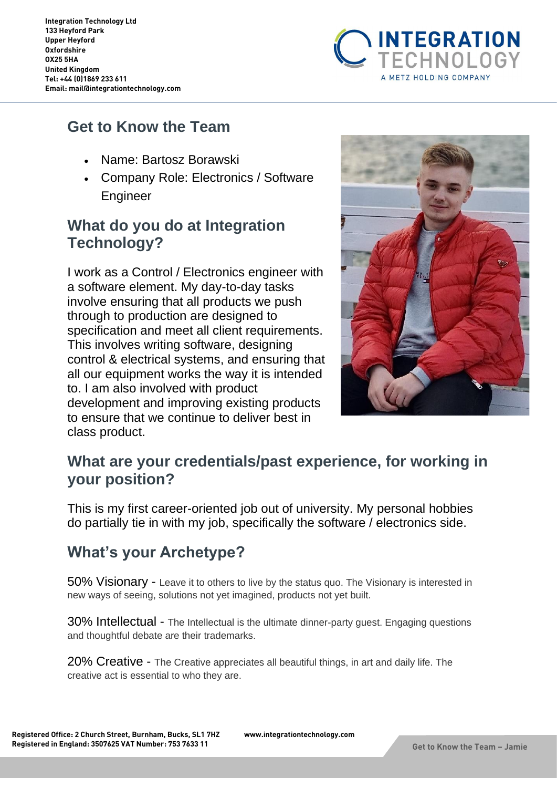

## **Get to Know the Team**

- Name: Bartosz Borawski
- Company Role: Electronics / Software Engineer

#### **What do you do at Integration Technology?**

I work as a Control / Electronics engineer with a software element. My day-to-day tasks involve ensuring that all products we push through to production are designed to specification and meet all client requirements. This involves writing software, designing control & electrical systems, and ensuring that all our equipment works the way it is intended to. I am also involved with product development and improving existing products to ensure that we continue to deliver best in class product.



## **What are your credentials/past experience, for working in your position?**

This is my first career-oriented job out of university. My personal hobbies do partially tie in with my job, specifically the software / electronics side.

# **What's your Archetype?**

50% Visionary - Leave it to others to live by the status quo. The Visionary is interested in new ways of seeing, solutions not yet imagined, products not yet built.

30% Intellectual - The Intellectual is the ultimate dinner-party guest. Engaging questions and thoughtful debate are their trademarks.

20% Creative - The Creative appreciates all beautiful things, in art and daily life. The creative act is essential to who they are.